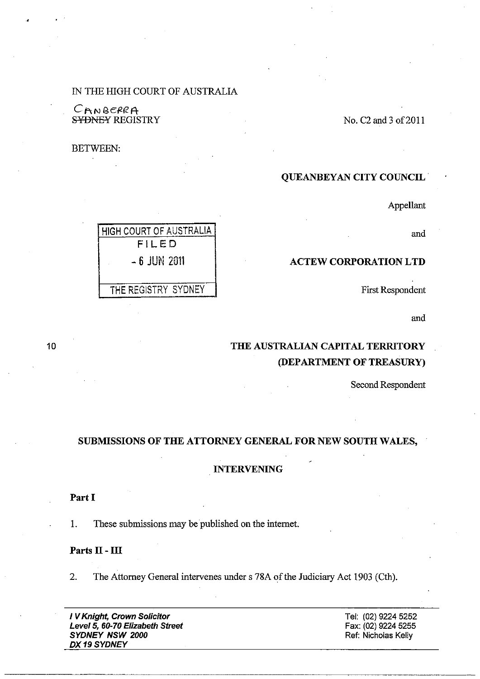# IN THE HIGH COURT OF AUSTRALIA

CANBERRA S<del>YDNEY</del> REGISTRY

BETWEEN:

# QUEANBEYAN CITY COUNCIL·

Appellant

No. C2 and 3 of 2011

and

#### ACTEW CORPORATION LTD

First Respondent

and

# THE AUSTRALIAN CAPITAL TERRITORY (DEPARTMENT OF TREASURy)

Second Respondent

## SUBMISSIONS OF THE ATTORNEY GENERAL FOR NEW SOUTH WALES,

#### INTERVENING

Part I

1. These submissions may be published on the internet.

# Parts II - III

2. The Attorney General intervenes under s 78A of the Judiciary Act 1903 (Cth).

I V Knight, Crown Solicitor Level 5, 60-70 Elizabeth Street SYDNEY NSW 2000 DX19 SYDNEY

Tel: (02) 9224 5252 Fax: (02) 9224 5255 Ref: Nicholas Kelly

HIGH COURT OF AUSTRALIA FILED - 6 JUN 2011 THE REGISTRY SYDNEY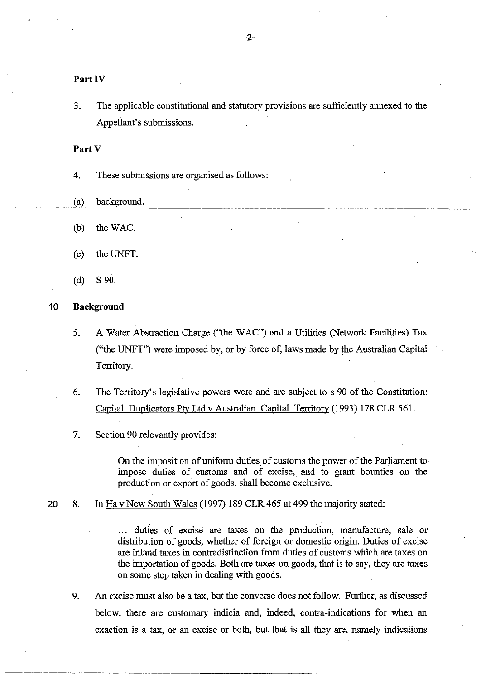## Part IV

3. The applicable constitutional and statutory provisions are sufficiently annexed to the Appellant's submissions.

Part V

4. These submissions are organised as follows:

- $(a)$  background.
- (b) theWAC.
- (c) the UNFT.
- (d) S 90.

#### 10 **Background**

- 5. A Water Abstraction Charge ("the WAC") and a Utilities (Network Facilities) Tax ("the UNFT") were imposed by, or by force of, laws made by the Australian Capital Territory.
- 6. The Territory's legislative powers were and are subject to s 90 of the Constitution: Capital Duplicators Pty Ltd v Australian Capital Territory (1993) 178 CLR 561.
- 7. Section 90 relevantly provides:

On the imposition of uniform duties of customs the power of the Parliament to· impose duties of customs and of excise, and to grant bounties on the production or export of goods, shall become exclusive.

20 8. In Ha v New South Wales (1997) 189 CLR 465 at 499 the majority stated:

... duties of excise are taxes on the production, manufacture, sale or distribution of goods, whether of foreign or domestic origin. Duties of excise are inland taxes in contradistinction from duties of customs which are taxes on the importation of goods. Both are taxes on goods, that is to say, they are taxes on some step taken in dealing with goods.

9. An excise must also be a tax, but the converse does not follow. Further, as discussed below, there are customary indicia and, indeed, contra-indications for when an exaction is a tax, or an excise or both, but that is all they are, namely indications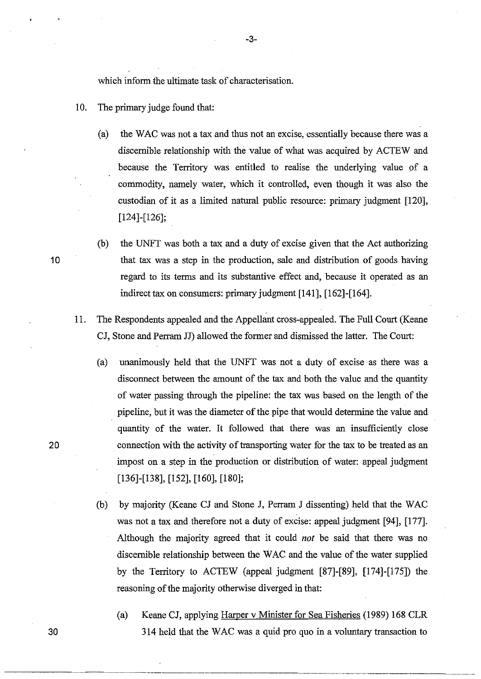which inform the ultimate task of characterisation.

- 10. The primary judge found that:
	- (a) the WAC was not a tax and thus not an excise, essentially because there was a discernible relationship with the value of what was acquired by ACTEW and because the Territory was entitled to realise the underlying value of a commodity, namely water, which it controlled, even though it was also the custodian of it as a limited natural public resource: primary judgment [120], [124]-[126];
- (b) the UNFT was both a tax and a duty of excise given that the Act authorizing 10 that tax was a step in the production, sale and distribution of goods having regard to its terms and its substantive effect and, because it operated as an indirect tax on consumers: primary judgment [141], [162]-[164].
	- 11. The Respondents appealed and the Appellant cross-appealed. The Full Court (Keane CJ, Stone and Perram JJ) allowed the former and dismissed the latter. The Court:
		- (a) unanimously held that the UNFT was not a duty of excise as there was a disconnect between the amount of the tax and both the value and the quantity of water passing through the pipeline: the tax was based on the length of the pipeline, but it was the diameter of the pipe that would determine the value and quantity of the water. It followed that there was an insufficiently close connection with the activity of transporting water for the tax to be treated as an impost on a step in the production or distribution of water: appeal judgment [136]-[138], [152], [160], [180];

(b) by majority (Keane CJ and Stone J, Perram J dissenting) held that the WAC was not a tax and therefore not a duty of excise: appeal judgment [94], [177]. Although the majority agreed that it could *not* be said that there was no discernible relationship between the WAC and the value of the water supplied by the Territory to ACTEW (appeal judgment [87]-[89], [174]-[175]) the reasoning of the majority otherwise diverged in that:

(a) Keane CJ, applying Harper v Minister for Sea Fisheries (1989) 168 CLR 30 314 held that the WAC was a quid pro quo in a voluntary transaction to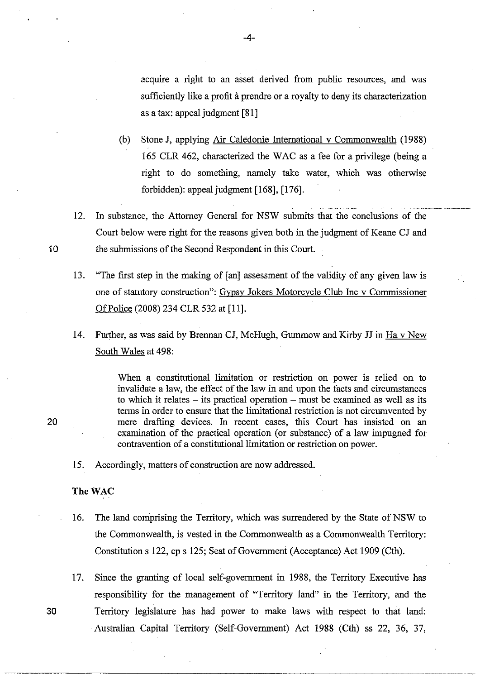acquire a right to an asset derived from public resources, and was sufficiently like a profit à prendre or a royalty to deny its characterization as a tax: appeal judgment [81]

- (b) Stone J, applying Air Caledonie International v Commonwealth (1988) 165 CLR 462, characterized the W AC as a fee for a privilege (being a right to do something, namely take water, which was otherwise forbidden): appeal judgment [168], [176].
- 12. In substance, the Attorney General for NSW submits that the conclusions of the Court below were right for the reasons given both in the judgment of Keane CJ and 10 the submissions of the Second Respondent in this Court.
	- 13. "The first step in the making of [an] assessment of the validity of any given law is one of statutory construction": Gypsy Jokers Motorcycle Club Inc v Commissioner Of Police (2008) 234 CLR 532 at [11].
	- 14. Further, as was said by Brennan CJ, McHugh, Gummow and Kirby JJ in Ha v New South Wales at 498:

When a constitutional limitation or restriction on power is relied on to invalidate a law, the effect of the law in and upon the facts and circumstances to which it relates  $-$  its practical operation  $-$  must be examined as well as its terms in order to ensure that the limitational restriction is not circumvented by 20 mere drafting devices. In recent cases, this Court has insisted on an examination of the practical operation (or substance) of a law impugned for contravention of a constitutional limitation or restriction on power.

15. Accordingly, matters of construction are now addressed.

### The WAC

- 16. The land comprising the Territory, which was surrendered by the State of NSW to the Commonwealth, is vested in the Commonwealth as a Commonwealth Territory: Constitution s 122, cp s 125; Seat of Governmeni (Acceptance) Act 1909 (Cth).
- 17. Since the granting of local self-government in 1988, the Territory Executive has responsibility for the management of "Territory land" in the Territory, and the 30 Territory legislature has had power to make laws with respect to that land: Australian Capital Territory (Self-Government) Act 1988 (Cth) ss 22, 36, 37,

-----------.\_----------

## -4-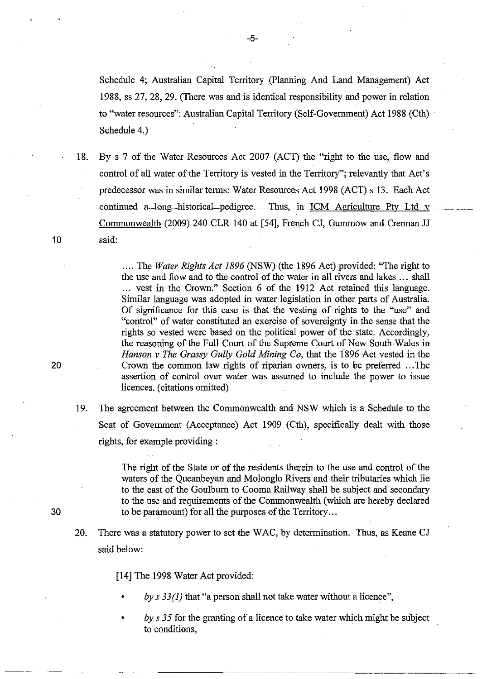Schedule 4; Australian Capital Territory (planning And Land Management) Act 1988, ss 27, 28, 29. (There was and is identical responsibility and power in relation to "water resources": Australian Capital Territory (Self-Government) Act 1988 (Cth) . Schedule 4.)

18. By s 7 of the Water Resources Act 2007 (ACT) the "right to the use, flow and control of all water of the Territory is vested in the Territory"; relevantly that Act's predecessor was in similar terms: Water Resources Act 1998 (ACT) s 13. Each Act continued--a-long-historical-pedigree. Thus, in ICM Agriculture Pty Ltd v Commonwealth (2009) 240 CLR 140 at [54], French CJ, Gurnrnow and Crennan JJ 10 said:

.... The *Water Rights Act* 1896 (NSW) (the 1896 Act) provided: "The right to the use and flow and to the control of the water in all rivers and lakes ... shall ... vest in the Crown." Section 6 of the 1912 Act retained this language. Similar language was adopted in water legislation in other parts of Australia. Of significance for this case is that the vesting of rights to the "use" and "control" of water constituted an exercise of sovereignty in the sense that the rights so vested. were based on the political power of the state. Accordingly, the reasoning of the Full Court of the Supreme Court of New South Wales in *Hanson v The Grassy Gully Gold Mining Co, that the 1896 Act vested in the* 20 Crown the common law rights of riparian owners, is to be preferred ... The assertion of control over water was assumed to include the power to issue licences. (citations omitted)

19. The agreement between the Commonwealth and NSW which is a Schedule to the Seat of Government (Acceptance) Act 1909 (Cth), specifically dealt with those rights, for example providing:

The right of the State or of the residents therein to the use and control of the waters of the Queanbeyan and Molonglo Rivers and their tributaries which lie to the east of the Goulburn to Cooma Railway shall be subject and secondary to the use and requirements of the Commonwealth (which are hereby declared 30 to be paramount) for all the purposes of the Territory ...

20. There was a statutory power to set the WAC, by determination. Thus, as Keane CJ said below:

[14] The 1998 Water Act provided:

- *by* s 33(1) that "a person shall not take water without a licence",
- *by s 35* for the granting of a licence to take water which might be subject to conditions,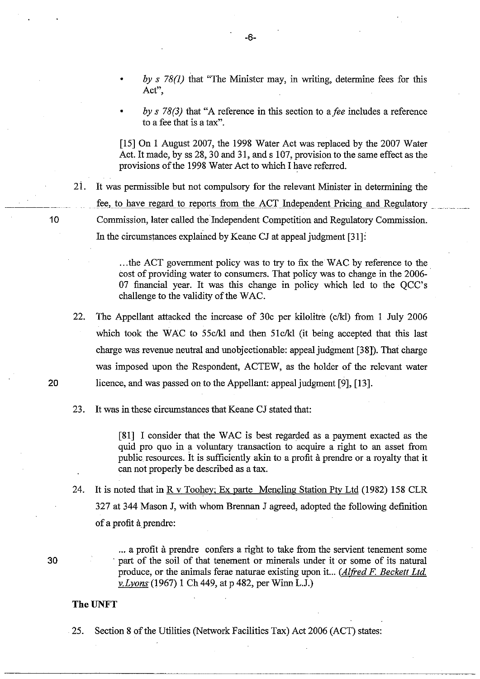- *by* s 78(1) that "The Minister may, in writing, determine fees for this **Act",**
- *by* s 78(3) that "A reference in this section to *afee* includes a reference to a fee that is a tax".

[15] On 1 August 2007, the 1998 Water Act was replaced by the 2007 Water Act. It made, by ss 28, 30 and 31, and s 107, provision to the same effect as the provisions of the 1998 Water Act to which I have referred.

21. It was permissible but not compulsory for the relevant Minister in determining the fee, to have regard to reports from the ACT Independent Pricing and Regulatory 10 Commission, later called the Independent Competition and Regulatory Commission. In the circumstances explained by Keane CJ at appeal judgment [31]:

> ... the ACT government policy was to try to fix the WAC by reference to the. cost of providing water to consumers. That policy was to change in the 2006- 07 financial year. It was this change in policy which led to the QCC's challenge to the validity of the WAC.

22. The Appellant attacked the increase of 30c per kilolitre (c/kl) from 1 July 2006 which took the WAC to 55 $c/k$ l and then 51 $c/k$ l (it being accepted that this last charge was revenue neutral and unobjectionable: appeal judgment [38]). That charge was imposed upon the Respondent, ACTEW, as the holder of the relevant water 20 licence, and was passed on to the Appellant: appeal judgment [9], [13].

23. It was in these circumstances that Keane CJ stated that:

[81] I consider that the WAC is best regarded as a payment exacted as the quid pro quo in a voluntary transaction to acquire a right to an asset from public resources. It is sufficiently akin to a profit à prendre or a royalty that it can not properly be described as a tax.

24. It is noted that in R v Toohey; Ex parte Meneling Station Pty Ltd (1982) 158 CLR 327 at 344 Mason J, with whom Brennan J agreed, adopted the following definition of a profit à prendre:

> ... a profit à prendre confers a right to take from the servient tenement some . part of the soil of that tenement or minerals under it or some of its natural produce, or the animals ferae naturae existing upon it... *(Alfred F. Beckett Ltd.*) *v.Lvons(1967)* 1 Ch 449, at p 482, per Winn L.J.)

#### **TheUNFT**

25. Section 8 of the Utilities (Network Facilities Tax) Act 2006 (ACT) states: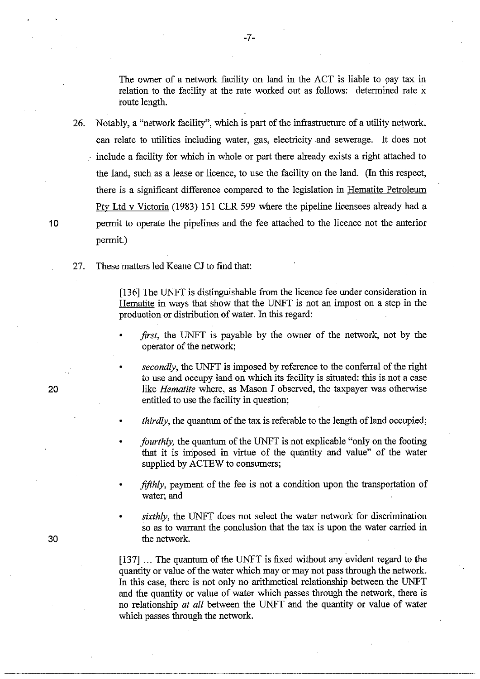The owner of a network facility on land in the ACT is liable to pay tax in relation to the facility at the rate worked out as follows: determined rate x route length.

26. Notably, a "network facility", which is part of the infrastructure of a utility network, can relate to utilities including water, gas, electricity .and sewerage. It does not include a facility for which in whole or part there already exists a right attached to the land, such as a lease or licence, to use the facility on the land. (In this respect, there is a significant difference compared to the legislation in Hematite Petroleum Pty-Ltd-v-Victoria-(1983) 151-CLR-599-where the-pipeline-licensees already had a 10 permit to operate the pipelines and the fee attached to the licence not the anterior permit.)

27. These matters led Keane CJ to find that:

[136] The UNFT is distinguishable from the licence fee under consideration in Hematite in ways that show that the UNFT is not an impost on a step in the production or distribution of water. In this regard:

*first*, the UNFT is payable by the owner of the network, not by the operator of the network;

secondly, the UNFT is imposed by reference to the conferral of the right to use and occupy land on which its facility is situated: this is not a case like *Hematite* where, as Mason J observed, the taxpayer was otherwise entitled to use the facility in question;

*thirdly*, the quantum of the tax is referable to the length of land occupied;

- *fourthly,* the quantum of the UNFT is not explicable "only on the footing that it is imposed in virtue of the quantity and value" of the water supplied by ACTEW to consumers;
- *fifthly*, payment of the fee is not a condition upon the transportation of water; and
- *sixthly,* the UNFT does not select the water network for discrimination so as to warrant the conclusion that the tax is upon the water carried in the network.

[137] ... The quantum of the UNFT is fixed without any evident regard to the quantity or value of the water which mayor may not pass through the network. In this case, there is not only no arithmetical relationship between the UNFT and the quantity or value of water which passes through the network, there is no relationship *at all* between the UNFT and the quantity or value of water which passes through the network.

20

30

---------------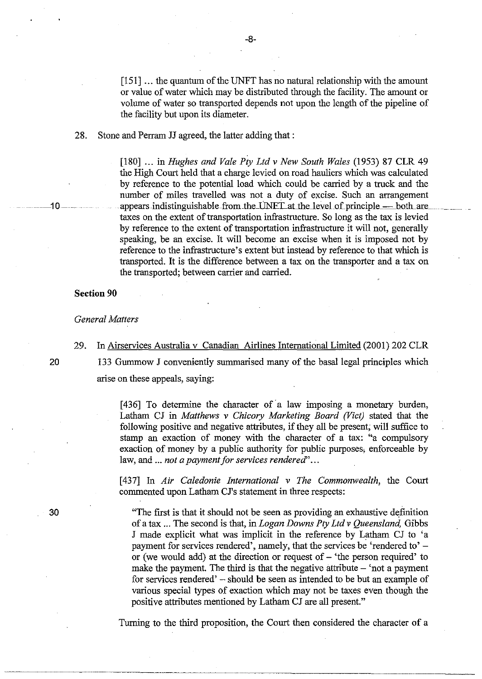$[151]$  ... the quantum of the UNFT has no natural relationship with the amount or value of water which may be distributed through the facility. The amount or volume of water so transported depends not upon the length of the pipeline of the facility but upon its diameter.

28. Stone and Perram JJ agreed, the latter adding that:

[180] ... in *Hughes and Vale Ply Ltd* v *New South Wales* (1953) 87 CLR 49 the High Court held that a charge levied on road hauliers which was calculated by reference to the potential load which could be carried by a truck and the number of miles travelled was not a duty of excise. Such an arrangement ··· .. --1 0 -....appears.indistinguishablefrom.thdJNELaUhe.leYeLof.principle\_- hoth...are\_. \_\_ . taxes on the extent of transportation infrastructure. So long as the tax is levied by reference to the extent of transportation infrastructure it will not, generally speaking, be an excise. It will become an excise when it is imposed not by reference to the infrastructure's extent but instead by reference to that which is transported. It is the difference between a tax on the transporter and a tax on the transported; between carrier and carried.

**Section 90** 

*General Matters* 

29. In Airservices Australia v Canadian Airlines International Limited (2001) 202 CLR 20 133 Gummow J conveniently summarised many of the basal legal principles which

arise on these appeals, saying:

[436] To determine the character of a law imposing a monetary burden, Latham CJ in *Matthews* v *Chicory Marketing Board (Vict)* stated that the following positive and negative attributes, if they all be present; will suffice to stamp an exaction of money with the character of a tax: "a compulsory exaction of money by a public authority for public purposes; enforceable by law, and ... *not a payment for services rendered' ...* 

[437] In *Air Caledonie International* v *The Commonwealth,* the Court commented upon Latham CJ's statement in three respects:

"The first is that it should not be seen as providing an exhaustive definition of a tax ... The second is that, in *Logan Downs Ply Ltd* v *Queensland,* Gibbs J made explicit what was implicit in the reference by Latham CJ to 'a payment for services rendered', namely, that the services be 'rendered to'  $$ or (we would add) at the direction or request of  $-$  'the person required' to make the payment. The third is that the negative attribute  $-$  'not a payment for services rendered' - should be seen as intended to be but an example of various special types of exaction which may not be taxes even though the positive attributes mentioned by Latham CJ are all present."

Turning to the third proposition, the Court then considered the character of a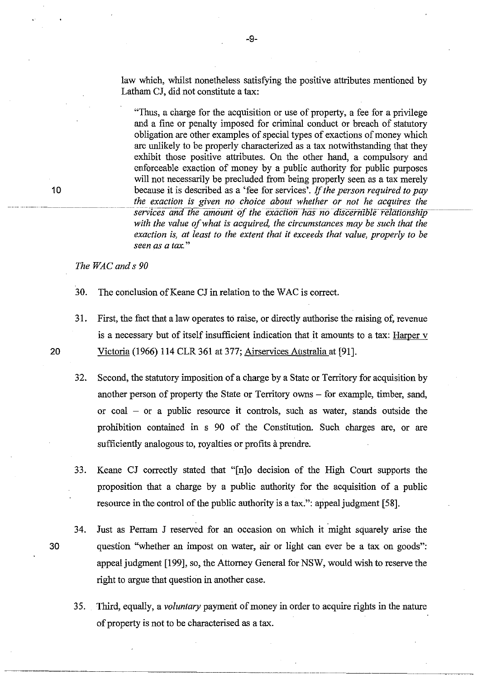law which, whilst nonetheless satisfying the positive attributes mentioned by Latham CJ, did not constitute a tax:

"Thus, a charge for the acquisition or use of property, a fee for a privilege and a fine or penalty imposed for criminal conduct or breach of statutory obligation are other examples of special types of exactions of money which are unlikely to be properly characterized as a tax notwithstanding that they exhibit those positive attributes. On the other hand, a compulsory and enforceable exaction of money by a public authority for public purposes will not necessarily be precluded from being properly seen as a tax merely because it is described as a 'fee for services'. If *the person required to pay the exaction is given no choice about whether or not he acquires the*  services and the amount of the exaction has no discernible relationship with the value of what is acquired, the circumstances may be such that the *exaction is, at least to the extent that it exceeds that value, properly to be seen as a tax. "* 

*The WAC and* s *90* 

30. The conclusion of Keane CJ in relation to the WAC is correct.

- 31. First, the fact that a law operates to raise, or directly authorise the raising of, revenue is a necessary but of itself insufficient indication that it amounts to a tax: Harper v 20 Victoria (1966) 114 CLR 361 at 377; Airservices Australia at [91].
	- 32. Second, the statutory imposition of a charge by a State or Territory for acquisition by another person of property the State or Territory owns – for example, timber, sand, or  $coal - or a public resource it controls, such as water, stands outside the$ prohibition contained in s 90 of the Constitution. Such charges are, or are sufficiently analogous to, royalties or profits à prendre.
	- 33. Keane CJ correctly stated that "[n]o decision of the High Court supports the proposition that a charge by a public authority for the acquisition of a public resource in the control of the public authority is a tax.": appeal judgment [58].
- 34. Just as Perram J reserved for an occasion on which it might squarely arise the 30 question "whether an impost on water, air or light can ever be a tax on goods": appeal judgment [199], so, the Attorney General for NSW, would wish to reserve the right to argue that question in another case.
	- 35. Third, equally, a *voluntary* payment of money in order to acquire rights in the nature of property is not to be characterised as a tax.

-------------------------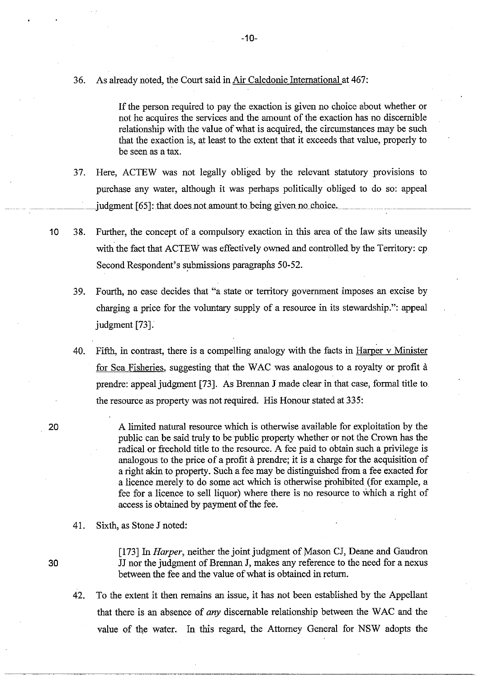36. As already noted, the Court said in Air Caledonie International at 467:

If the person required to pay the exaction is given no choice about whether or not he acquires the services and the amount of the exaction has no discernible relationship with the value of what is acquired, the circumstances may be such that the exaction is, at least to the extent that it exceeds that value, properly to be seen as a tax.

- 37. Here, ACTEW was not legally obliged by the relevant statutory provisions to purchase any water, although it was perhaps politically obliged to do so: appeal  $\mu$  judgment [65]: that does not amount to being given no choice.
- 10 38. Further, the concept of a compulsory exaction in this area of the law sits uneasily with the fact that ACTEW was effectively owned and controlled by the Territory: cp Second Respondent's submissions paragraphs 50-52.
	- 39. Fourth, no case decides that "a state or territory government imposes an excise by charging a price for the voluntary supply of a resource in its stewardship.": appeal judgment [73].
	- 40. Fifth, in contrast, there is a compelling analogy with the facts in Harper v Minister for Sea Fisheries, suggesting that the WAC was analogous to a royalty or profit a prendre: appeal judgment [73]. As Brennan J made clear in that case, formal title to the resource as property was not required. His Honour stated at 335:
- 20 A limited natural resource which is otherwise available for exploitation by the public can be said truly to be public property whether or not the Crown has the radical or freehold title to the resource. A fee paid to obtain such a privilege is analogous to the price of a profit à prendre; it is a charge for the acquisition of a right akin to property. Such a fee may be distinguished from a fee exacted for a licence merely to do some act which is otherwise prohibited (for example, a fee for a licence to sell liquor) where there is no resource to which a right of access is obtained by payment of the fee.
	- 41. Sixth, as Stone J noted:
- 

[173] In *Harper*, neither the joint judgment of Mason CJ, Deane and Gaudron 30 JJ nor the judgment of Brennan J, makes any reference to the need for a nexus between the fee and the value of what is obtained in return.

42. To the extent it then remains an issue, it has not been established by the Appellant that there is an absence of *any* discernable relationship between the WAC and the value of the water. In this regard, the Attorney General for NSW adopts the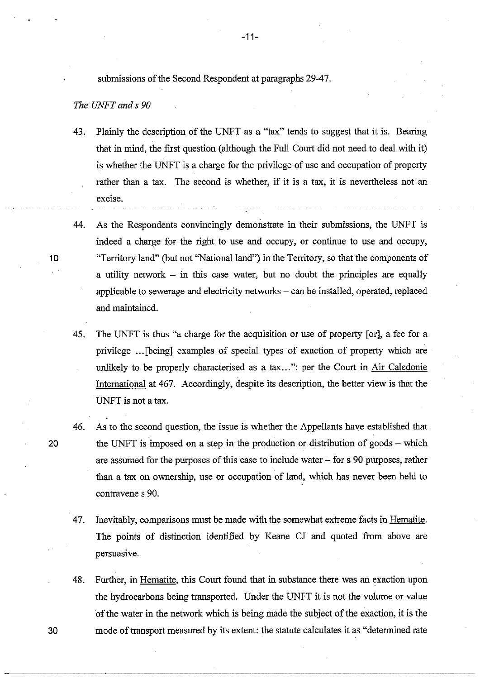submissions of the Second Respondent at paragraphs 29-47.

# *The UNFT and* s *90*

- 43. Plainly the description of the UNFT as a "tax" tends to suggest that it is. Bearing that in mind, the first question (although the Full Court did not need to deal with it) is whether the UNFT is a charge for the privilege of use and occupation of property rather than a tax. The second is whether, if it is a tax, it is nevertheless not an excise.
- 44. As the Respondents convincingly demonstrate in their submissions, the UNFT is indeed a charge for the right to use and occupy, or continue to use and occupy, 10 "Territory land" (but not "National land") in the Territory, so that the components of a utility network  $-$  in this case water, but no doubt the principles are equally applicable to sewerage and electricity networks - can be installed, operated, replaced and maintained.
	- 45. The UNFT is thus "a charge for the acquisition or use of property [or], a fee for a privilege ... [being] examples of special types of exaction of property which are unlikely to be properly characterised as a tax...": per the Court in Air Caledonie International at 467. Accordingly, despite its description, the better view is that the UNFT is not a tax.
- 46. As to the second question, the issue is whether the Appellants have established that 20 the UNFT is imposed on a step in the production or distribution of goods – which are assumed for the purposes of this case to include water ~ for s 90 purposes, rather than a tax on ownership, use or occupation of land, which has never been held to contravene s 90.
	- 47. Inevitably, comparisons must be made with the somewhat extreme facts in Hematite. The points of distinction identified by Keane CJ and quoted from above are persuasive.
- 48. Further, in Hematite, this Court found that in substance there was an exaction upon the hydrocarbons being transported. Under the UNFT it is not the volume or value of the water in the network which is being made the subject of the exaction, it is the 30 mode of transport measured by its extent: the statute calculates it as "determined rate